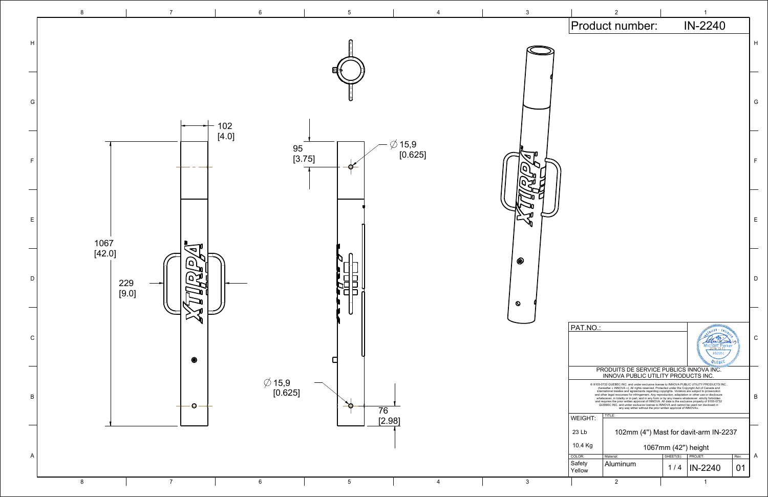|                                                                                                                                                                                                                                                                                                                                                                                                                                                                           | 2                                                                                                                                                                                                                                                                                               |           | 1                        |            |   |  |  |  |
|---------------------------------------------------------------------------------------------------------------------------------------------------------------------------------------------------------------------------------------------------------------------------------------------------------------------------------------------------------------------------------------------------------------------------------------------------------------------------|-------------------------------------------------------------------------------------------------------------------------------------------------------------------------------------------------------------------------------------------------------------------------------------------------|-----------|--------------------------|------------|---|--|--|--|
|                                                                                                                                                                                                                                                                                                                                                                                                                                                                           | Product number:                                                                                                                                                                                                                                                                                 |           | IN-2240                  |            |   |  |  |  |
|                                                                                                                                                                                                                                                                                                                                                                                                                                                                           |                                                                                                                                                                                                                                                                                                 |           |                          |            | H |  |  |  |
|                                                                                                                                                                                                                                                                                                                                                                                                                                                                           |                                                                                                                                                                                                                                                                                                 |           |                          |            |   |  |  |  |
|                                                                                                                                                                                                                                                                                                                                                                                                                                                                           |                                                                                                                                                                                                                                                                                                 |           |                          |            |   |  |  |  |
|                                                                                                                                                                                                                                                                                                                                                                                                                                                                           |                                                                                                                                                                                                                                                                                                 |           |                          |            |   |  |  |  |
|                                                                                                                                                                                                                                                                                                                                                                                                                                                                           |                                                                                                                                                                                                                                                                                                 |           |                          |            | G |  |  |  |
|                                                                                                                                                                                                                                                                                                                                                                                                                                                                           |                                                                                                                                                                                                                                                                                                 |           |                          |            |   |  |  |  |
|                                                                                                                                                                                                                                                                                                                                                                                                                                                                           |                                                                                                                                                                                                                                                                                                 |           |                          |            |   |  |  |  |
|                                                                                                                                                                                                                                                                                                                                                                                                                                                                           |                                                                                                                                                                                                                                                                                                 |           |                          |            |   |  |  |  |
|                                                                                                                                                                                                                                                                                                                                                                                                                                                                           |                                                                                                                                                                                                                                                                                                 |           |                          |            | F |  |  |  |
|                                                                                                                                                                                                                                                                                                                                                                                                                                                                           |                                                                                                                                                                                                                                                                                                 |           |                          |            |   |  |  |  |
|                                                                                                                                                                                                                                                                                                                                                                                                                                                                           |                                                                                                                                                                                                                                                                                                 |           |                          |            |   |  |  |  |
|                                                                                                                                                                                                                                                                                                                                                                                                                                                                           |                                                                                                                                                                                                                                                                                                 |           |                          |            |   |  |  |  |
|                                                                                                                                                                                                                                                                                                                                                                                                                                                                           |                                                                                                                                                                                                                                                                                                 |           |                          |            | E |  |  |  |
|                                                                                                                                                                                                                                                                                                                                                                                                                                                                           |                                                                                                                                                                                                                                                                                                 |           |                          |            |   |  |  |  |
|                                                                                                                                                                                                                                                                                                                                                                                                                                                                           |                                                                                                                                                                                                                                                                                                 |           |                          |            |   |  |  |  |
|                                                                                                                                                                                                                                                                                                                                                                                                                                                                           |                                                                                                                                                                                                                                                                                                 |           |                          |            |   |  |  |  |
|                                                                                                                                                                                                                                                                                                                                                                                                                                                                           |                                                                                                                                                                                                                                                                                                 |           |                          |            | D |  |  |  |
|                                                                                                                                                                                                                                                                                                                                                                                                                                                                           |                                                                                                                                                                                                                                                                                                 |           |                          |            |   |  |  |  |
|                                                                                                                                                                                                                                                                                                                                                                                                                                                                           |                                                                                                                                                                                                                                                                                                 |           |                          |            |   |  |  |  |
|                                                                                                                                                                                                                                                                                                                                                                                                                                                                           |                                                                                                                                                                                                                                                                                                 |           |                          |            |   |  |  |  |
| PAT.NO.:                                                                                                                                                                                                                                                                                                                                                                                                                                                                  |                                                                                                                                                                                                                                                                                                 |           | NUMBER LEBRARY           |            |   |  |  |  |
|                                                                                                                                                                                                                                                                                                                                                                                                                                                                           |                                                                                                                                                                                                                                                                                                 |           |                          |            | С |  |  |  |
| 102051<br><b>PRODUITS DE SERVICE PUBLICS INNOVA INC.</b><br>INNOVA PUBLIC UTILITY PRODUICTS INC.                                                                                                                                                                                                                                                                                                                                                                          |                                                                                                                                                                                                                                                                                                 |           |                          |            |   |  |  |  |
|                                                                                                                                                                                                                                                                                                                                                                                                                                                                           |                                                                                                                                                                                                                                                                                                 |           |                          |            |   |  |  |  |
|                                                                                                                                                                                                                                                                                                                                                                                                                                                                           | @ 9105-0732 QUEBEC INC. and under exclusive license to INNOVA PUBLIC UTILITY PRODUCTS INC.,<br>(hereafter « INNOVA »). All rights reserved. Protected under the Copyright Act of Canada and<br>international treaties and agreements regarding copyrights. Violators are subject to prosecution |           |                          |            |   |  |  |  |
| and other legal recourses for infringement. Any reproduction, adaptation or other use or disclosure<br>whatsoever, in totality or in part, and in any form or by any means whatsoever, strictly forbidden<br>and requires the prior written approval of INNOVA. All data is the exclusive property of 9105-0732<br>QUEBEC INC. and under exclusive license to INNOVA and cannot be used nor disclosed in<br>any way either without the prior written approval of INNOVA». |                                                                                                                                                                                                                                                                                                 |           |                          |            |   |  |  |  |
| <b>WEIGHT:</b>                                                                                                                                                                                                                                                                                                                                                                                                                                                            | TITLE:                                                                                                                                                                                                                                                                                          |           |                          |            |   |  |  |  |
| 23 Lb<br>102mm (4") Mast for davit-arm IN-2237                                                                                                                                                                                                                                                                                                                                                                                                                            |                                                                                                                                                                                                                                                                                                 |           |                          |            |   |  |  |  |
| 10.4 Kg                                                                                                                                                                                                                                                                                                                                                                                                                                                                   | 1067mm (42") height                                                                                                                                                                                                                                                                             |           |                          |            |   |  |  |  |
| COLOR:<br>Safety                                                                                                                                                                                                                                                                                                                                                                                                                                                          | Material:<br>Aluminum                                                                                                                                                                                                                                                                           | SHEET(S): | PROJET:<br>1/4   IN-2240 | Rev.<br>01 | A |  |  |  |
| Yellow                                                                                                                                                                                                                                                                                                                                                                                                                                                                    |                                                                                                                                                                                                                                                                                                 |           |                          |            |   |  |  |  |

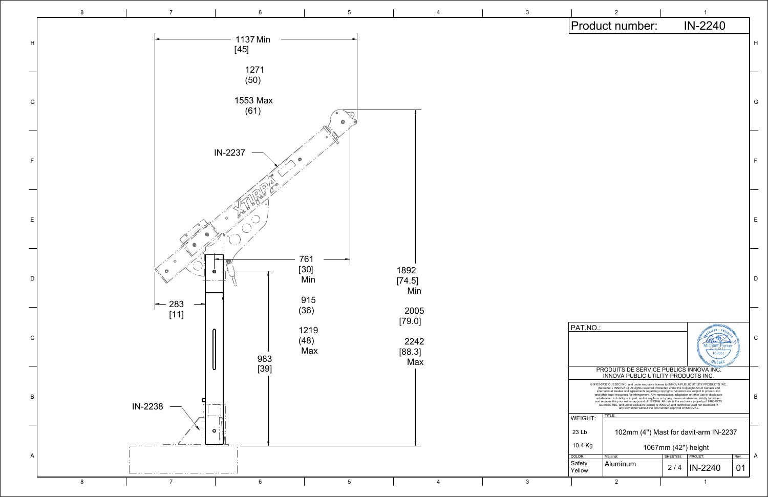

|                                                                                                                                                                                                                                                              |                          | 2                                                                                                                                                                                                                                                                                                                                                                                                                                                                                                            |                                          | 1                |      |   |  |
|--------------------------------------------------------------------------------------------------------------------------------------------------------------------------------------------------------------------------------------------------------------|--------------------------|--------------------------------------------------------------------------------------------------------------------------------------------------------------------------------------------------------------------------------------------------------------------------------------------------------------------------------------------------------------------------------------------------------------------------------------------------------------------------------------------------------------|------------------------------------------|------------------|------|---|--|
|                                                                                                                                                                                                                                                              |                          | Product number:                                                                                                                                                                                                                                                                                                                                                                                                                                                                                              |                                          | IN-2240          |      |   |  |
|                                                                                                                                                                                                                                                              |                          |                                                                                                                                                                                                                                                                                                                                                                                                                                                                                                              |                                          |                  |      | H |  |
|                                                                                                                                                                                                                                                              |                          |                                                                                                                                                                                                                                                                                                                                                                                                                                                                                                              |                                          |                  |      |   |  |
|                                                                                                                                                                                                                                                              |                          |                                                                                                                                                                                                                                                                                                                                                                                                                                                                                                              |                                          |                  |      |   |  |
|                                                                                                                                                                                                                                                              |                          |                                                                                                                                                                                                                                                                                                                                                                                                                                                                                                              |                                          |                  |      |   |  |
|                                                                                                                                                                                                                                                              |                          |                                                                                                                                                                                                                                                                                                                                                                                                                                                                                                              |                                          |                  |      | G |  |
|                                                                                                                                                                                                                                                              |                          |                                                                                                                                                                                                                                                                                                                                                                                                                                                                                                              |                                          |                  |      |   |  |
|                                                                                                                                                                                                                                                              |                          |                                                                                                                                                                                                                                                                                                                                                                                                                                                                                                              |                                          |                  |      |   |  |
|                                                                                                                                                                                                                                                              |                          |                                                                                                                                                                                                                                                                                                                                                                                                                                                                                                              |                                          |                  |      |   |  |
|                                                                                                                                                                                                                                                              |                          |                                                                                                                                                                                                                                                                                                                                                                                                                                                                                                              |                                          |                  |      | F |  |
|                                                                                                                                                                                                                                                              |                          |                                                                                                                                                                                                                                                                                                                                                                                                                                                                                                              |                                          |                  |      |   |  |
|                                                                                                                                                                                                                                                              |                          |                                                                                                                                                                                                                                                                                                                                                                                                                                                                                                              |                                          |                  |      |   |  |
|                                                                                                                                                                                                                                                              |                          |                                                                                                                                                                                                                                                                                                                                                                                                                                                                                                              |                                          |                  |      |   |  |
|                                                                                                                                                                                                                                                              |                          |                                                                                                                                                                                                                                                                                                                                                                                                                                                                                                              |                                          |                  |      | Ε |  |
|                                                                                                                                                                                                                                                              |                          |                                                                                                                                                                                                                                                                                                                                                                                                                                                                                                              |                                          |                  |      |   |  |
|                                                                                                                                                                                                                                                              |                          |                                                                                                                                                                                                                                                                                                                                                                                                                                                                                                              |                                          |                  |      |   |  |
|                                                                                                                                                                                                                                                              |                          |                                                                                                                                                                                                                                                                                                                                                                                                                                                                                                              |                                          |                  |      |   |  |
|                                                                                                                                                                                                                                                              |                          |                                                                                                                                                                                                                                                                                                                                                                                                                                                                                                              |                                          |                  |      | D |  |
|                                                                                                                                                                                                                                                              |                          |                                                                                                                                                                                                                                                                                                                                                                                                                                                                                                              |                                          |                  |      |   |  |
|                                                                                                                                                                                                                                                              |                          |                                                                                                                                                                                                                                                                                                                                                                                                                                                                                                              |                                          |                  |      |   |  |
|                                                                                                                                                                                                                                                              | PAT.NO.:                 |                                                                                                                                                                                                                                                                                                                                                                                                                                                                                                              |                                          | WWW.MERICUS . E. |      |   |  |
|                                                                                                                                                                                                                                                              |                          |                                                                                                                                                                                                                                                                                                                                                                                                                                                                                                              |                                          | 102051           |      | С |  |
|                                                                                                                                                                                                                                                              |                          |                                                                                                                                                                                                                                                                                                                                                                                                                                                                                                              |                                          |                  |      |   |  |
| <b>PRODUITS DE SERVICE PUBLICS INNOVA INC.</b><br>INNOVA PUBLIC UTILITY PRODUICTS INC.                                                                                                                                                                       |                          |                                                                                                                                                                                                                                                                                                                                                                                                                                                                                                              |                                          |                  |      |   |  |
|                                                                                                                                                                                                                                                              |                          | @ 9105-0732 QUEBEC INC. and under exclusive license to INNOVA PUBLIC UTILITY PRODUCTS INC.,<br>(hereafter « INNOVA »). All rights reserved. Protected under the Copyright Act of Canada and<br>international treaties and agreements regarding copyrights. Violators are subject to prosecution<br>and other legal recourses for infringement. Any reproduction, adaptation or other use or disclosure<br>whatsoever, in totality or in part, and in any form or by any means whatsoever, strictly forbidden |                                          |                  |      | B |  |
| and requires the prior written approval of INNOVA. All data is the exclusive property of 9105-0732<br>QUEBEC INC. and under exclusive license to INNOVA and cannot be used nor disclosed in<br>any way either without the prior written approval of INNOVA». |                          |                                                                                                                                                                                                                                                                                                                                                                                                                                                                                                              |                                          |                  |      |   |  |
|                                                                                                                                                                                                                                                              | TITLE:<br><b>WEIGHT:</b> |                                                                                                                                                                                                                                                                                                                                                                                                                                                                                                              |                                          |                  |      |   |  |
|                                                                                                                                                                                                                                                              | 23 Lb                    | 102mm (4") Mast for davit-arm IN-2237                                                                                                                                                                                                                                                                                                                                                                                                                                                                        |                                          |                  |      |   |  |
|                                                                                                                                                                                                                                                              | 10.4 Kg<br>COLOR:        | Material:                                                                                                                                                                                                                                                                                                                                                                                                                                                                                                    | 1067mm (42") height<br>SHEET(S): PROJET: |                  | Rev. | A |  |
|                                                                                                                                                                                                                                                              | Safety<br>Yellow         | Aluminum                                                                                                                                                                                                                                                                                                                                                                                                                                                                                                     |                                          | 2/4   IN-2240    | 01   |   |  |
|                                                                                                                                                                                                                                                              |                          | $\overline{2}$                                                                                                                                                                                                                                                                                                                                                                                                                                                                                               |                                          | 1                |      |   |  |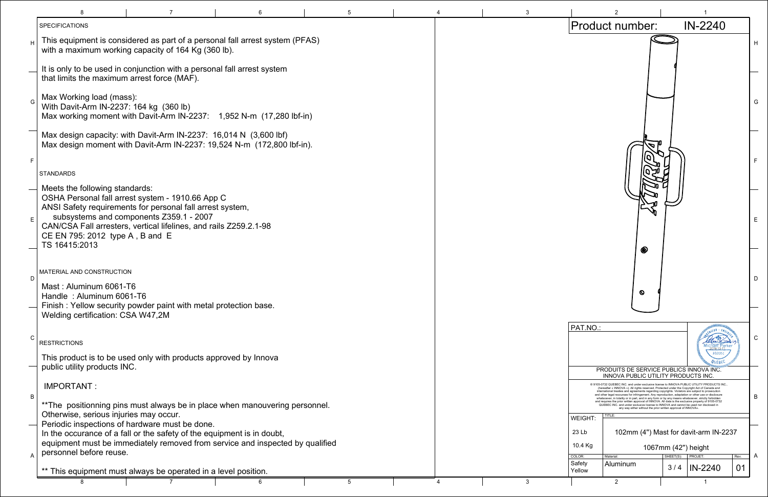|                | <b>SPECIFICATIONS</b>                                                                                                |                                                                                                                                                                                                                               |   |  |   |                             | Product number:                                                                                                                                                                                                                                                                                                                                                                                                                                                                                                                            |                    | $IN-2$                   |
|----------------|----------------------------------------------------------------------------------------------------------------------|-------------------------------------------------------------------------------------------------------------------------------------------------------------------------------------------------------------------------------|---|--|---|-----------------------------|--------------------------------------------------------------------------------------------------------------------------------------------------------------------------------------------------------------------------------------------------------------------------------------------------------------------------------------------------------------------------------------------------------------------------------------------------------------------------------------------------------------------------------------------|--------------------|--------------------------|
|                |                                                                                                                      | This equipment is considered as part of a personal fall arrest system (PFAS)<br>with a maximum working capacity of 164 Kg (360 lb).                                                                                           |   |  |   |                             |                                                                                                                                                                                                                                                                                                                                                                                                                                                                                                                                            |                    |                          |
|                | that limits the maximum arrest force (MAF).                                                                          | It is only to be used in conjunction with a personal fall arrest system                                                                                                                                                       |   |  |   |                             |                                                                                                                                                                                                                                                                                                                                                                                                                                                                                                                                            |                    |                          |
| G              | Max Working load (mass):<br>With Davit-Arm IN-2237: 164 kg (360 lb)                                                  | Max working moment with Davit-Arm IN-2237: 1,952 N-m (17,280 lbf-in)                                                                                                                                                          |   |  |   |                             |                                                                                                                                                                                                                                                                                                                                                                                                                                                                                                                                            |                    |                          |
|                |                                                                                                                      | Max design capacity: with Davit-Arm IN-2237: 16,014 N (3,600 lbf)<br>Max design moment with Davit-Arm IN-2237: 19,524 N-m (172,800 lbf-in).                                                                                   |   |  |   |                             |                                                                                                                                                                                                                                                                                                                                                                                                                                                                                                                                            |                    |                          |
|                | STANDARDS                                                                                                            |                                                                                                                                                                                                                               |   |  |   |                             |                                                                                                                                                                                                                                                                                                                                                                                                                                                                                                                                            |                    |                          |
| E              | Meets the following standards:<br>CE EN 795: 2012 type A, B and E<br>TS 16415:2013                                   | OSHA Personal fall arrest system - 1910.66 App C<br>ANSI Safety requirements for personal fall arrest system,<br>subsystems and components Z359.1 - 2007<br>CAN/CSA Fall arresters, vertical lifelines, and rails Z259.2.1-98 |   |  |   |                             | $\bullet$                                                                                                                                                                                                                                                                                                                                                                                                                                                                                                                                  |                    |                          |
| D              | MATERIAL AND CONSTRUCTION<br>Mast: Aluminum 6061-T6<br>Handle: Aluminum 6061-T6<br>Welding certification: CSA W47,2M | Finish: Yellow security powder paint with metal protection base.                                                                                                                                                              |   |  |   |                             | Ø                                                                                                                                                                                                                                                                                                                                                                                                                                                                                                                                          |                    |                          |
|                | <b>RESTRICTIONS</b>                                                                                                  |                                                                                                                                                                                                                               |   |  |   | PAT.NO.:                    |                                                                                                                                                                                                                                                                                                                                                                                                                                                                                                                                            |                    |                          |
|                | public utility products INC.                                                                                         | This product is to be used only with products approved by Innova                                                                                                                                                              |   |  |   |                             | PRODUITS DE SERVICE PUBLICS INNOVA<br><b>INNOVA PUBLIC UTILITY PRODUCTS IN</b>                                                                                                                                                                                                                                                                                                                                                                                                                                                             |                    |                          |
| B              | IMPORTANT:                                                                                                           | ** The positionning pins must always be in place when manouvering personnel.                                                                                                                                                  |   |  |   |                             | @ 9105-0732 QUEBEC INC. and under exclusive license to INNOVA PUBLIC UTILITY PI<br>(hereafter « INNOVA »). All rights reserved. Protected under the Copyright Act of Ca<br>ternational treaties and agreements regarding copyrights.<br>and other legal recourses for infringement. Any reproduction, a<br>whatsoever, in totality or in part, and in any form or by a<br>and requires the prior written approval of INNOVA. All data is the exclusive property<br>QUEBEC INC, and under exclusive license to INNOVA and cannot be used no |                    |                          |
|                | Otherwise, serious injuries may occur.                                                                               | Periodic inspections of hardware must be done.<br>In the occurance of a fall or the safety of the equipment is in doubt,<br>equipment must be immediately removed from service and inspected by qualified                     |   |  |   | WEIGHT:<br>23 Lb<br>10.4 Kg | any way either without the prior written approval of INNOVA<br>TITLE:<br>102mm (4") Mast for davit-arr                                                                                                                                                                                                                                                                                                                                                                                                                                     | 1067mm (42") heigh |                          |
| $\overline{A}$ | personnel before reuse.                                                                                              | ** This equipment must always be operated in a level position.                                                                                                                                                                |   |  |   | COLOR:<br>Safety<br>Yellow  | Material:<br>Aluminum                                                                                                                                                                                                                                                                                                                                                                                                                                                                                                                      | SHEET(S):<br>3/4   | <b>PROJET:</b><br>$IN-2$ |
|                |                                                                                                                      |                                                                                                                                                                                                                               | 6 |  | 3 |                             | $\overline{2}$                                                                                                                                                                                                                                                                                                                                                                                                                                                                                                                             |                    |                          |